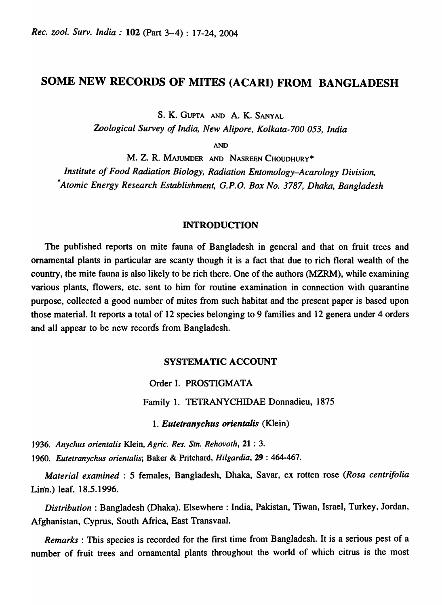# SOME NEW RECORDS OF MITES (ACARI) FROM BANGLADESH

S. K. GUPTA AND A. K. SANYAL

*Zoological Survey of India, New Alipore, Kolkata-700 053, India* 

AND

M. Z. R. MAJUMDER AND NASREEN CHOUDHURY\* *Institute of Food Radiation Biology, Radiation Entomology-Acarology Division, \*Atomic Energy Research Establishment, G.P.O. Box No.* 3787, *Dhaka, Bangladesh* 

#### INTRODUCTION

The published reports on mite fauna of Bangladesh in general and that on fruit trees and ornamental plants in particular are scanty though it is a fact that due to rich floral wealth of the country, the mite fauna is also likely to be rich there. One of the authors (MZRM), while examining various plants, flowers, etc. sent to him for routine examination in connection with quarantine purpose, collected a good number of mites from such habitat and the present paper is based upon those material. It reports a total of 12 species belonging to 9 families and 12 genera under 4 orders and all appear to be new records from Bangladesh.

## SYSTEMATIC ACCOUNT

Order I. PROSTIGMATA

Family 1. TETRANYCHIDAE Donnadieu, 1875

*1. Eutetranychus orientalis* (Klein)

*1936. Anyehus orientalis* Klein, *Agrie. Res. Sin .. Rehovoth,* 21 : 3.

*1960. Eutetranyehus orientalis;* Baker & Pritchard, *Hilgardia,* 29 : 464-467.

*Material examined:* 5 females, Bangladesh, Dhaka, Savar, ex rotten rose *(Rosa centrifolia*  Lin'n.) leaf, 18.5.1996.

*Distribution:* Bangladesh (Dhaka). Elsewhere: India, Pakistan, Tiwan, Israel, Turkey, Jordan, Afghanistan, Cyprus, South Africa, East Transvaal.

*Remarks:* This species is recorded for the first time from Bangladesh. It is a serious pest of a number of fruit trees and ornamental plants throughout the world of which citrus is the most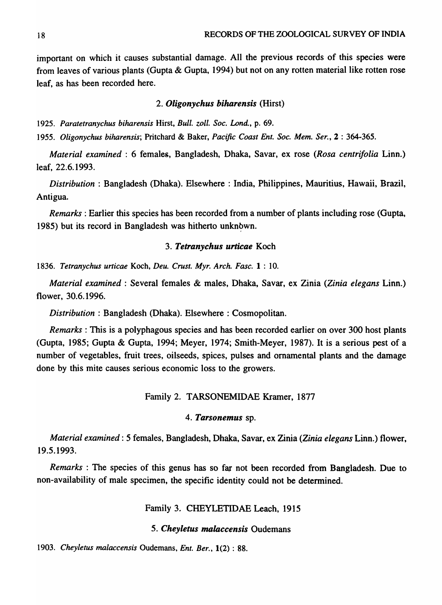important on which *it* causes substantial damage. All the previous records of *this* species were from leaves of various plants (Gupta & Gupta, 1994) but not on any rotten material like rotten rose leaf, as has been recorded here.

## *2. Oligonychus biharensis* (Hirst)

1925. Paratetranychus biharensis Hirst, *Bull. zoll. Soc. Lond.*, p. 69.

*1955. Oligonychus biharensis;* Pritchard & Baker, *Pacific Coast Ent. Soc. Mem. Ser.,* 2 : 364-365.

*Material examined:* 6 females, Bangladesh, Dhaka, Savar, ex rose *(Rosa centrifolia* Linn.) leaf, 22.6.1993.

*Distribution* : Bangladesh (Dhaka). Elsewhere : India, Philippines, Mauritius, Hawaii, Brazil, Antigua.

*Remarks:* Earlier this species has been recorded from a number of plants including rose (Gupta, 1985) but its record in Bangladesh was hitherto unknown.

## *3. Tetranychus urticae* Koch

*1836. Tetranychus urticae* Koch, *Deu. Crust. Myr. Arch. Fasc.* 1 : 10.

*Material examined:* Several females & males, Dhaka, Savar, ex Zinia *(Zinia elegans* Linn.) flower, 30.6.1996.

*Distribution: Bangladesh (Dhaka). Elsewhere: Cosmopolitan.* 

*Remarks:* This is a polyphagous species and has been recorded earlier on over 300 host plants (Gupta, 1985; Gupta & Gupta, 1994; Meyer, 1974; Smith-Meyer, 1987). It is a serious pest of a number of vegetables, fruit trees, oilseeds, spices, pulses and ornamental plants and the damage done by this mite causes serious economic loss to the growers.

## Family 2. TARSONEMIDAE Kramer, 1877

## *4. Tarsonemus* sp.

*Material examined:* 5 females, Bangladesh, Dhaka, Savar, ex Zinia *(Zinia elegans* Linn.) flower, 19.5.1993.

*Remarks* : The species of this genus has so far not been recorded from Bangladesh. Due to non-availability of male specimen, the specific identity could not be determined.

## Family 3. CHEYLETIDAE Leach, 1915

## *5. Cheyletus malaccensis* Oudemans

*1903. Cheyletus malaccensis* Oudemans, *Ent. Ber.,* 1(2) : 88.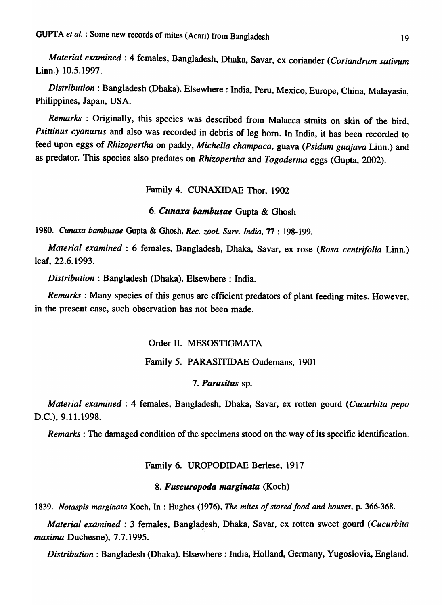*Material examined:* 4 females, Bangladesh, Dhaka, Savar, ex coriander *(Coriandrum sativum*  Linn.) 10.5.1997.

*Distribution:* Bangladesh (Dhaka). Elsewhere: India, Peru, Mexico, Europe, China, Malayasia, Philippines, Japan, USA.

*Remarks* : Originally, this species was described from Malacca straits on skin of the bird, *Psittinus cyanurus* and also was recorded in debris of leg hom. In India, it has been recorded to feed upon eggs of *Rhizopertha* on paddy, *Michelia champaca,* guava *(Psidum guajava* Linn.) and as predator. This species also predates on *Rhizopertha* and *Togoderma* eggs (Gupta, 2002).

## Family 4. CUNAXIDAE Thor, 1902

#### 6. *Cunaxa bambusae* Gupta & Ghosh

*1980. Cunaxa bambusae* Gupta & Ghosh, *Rec. zoo* I. *Surv. India,* 77 : 198-199.

*Material examined:* 6 females, Bangladesh, Dhaka, Savar, ex rose *(Rosa centrifolia* Linn.) leaf, 22.6.1993.

*Distribution:* Bangladesh (Dhaka). Elsewhere: India.

*Remarks:* Many species of this genus are efficient predators of plant feeding mites. However, in the present case, such observation has not been made.

## Order II. MESOSTIGMATA

### Family 5. PARASITIDAE Oudemans, 1901

#### *7. Parasitus* sp.

*Material examined:* 4 females, Bangladesh, Dhaka, Savar, ex rotten gourd *(Cucurbita pepo*  D.C.), 9.11.1998.

*Remarks* : The damaged condition of the specimens stood on the way of its specific identification.

#### Family 6. UROPODIDAE Berlese, 1917

## 8. *Fuscuropoda marginata* (Koch)

*1839. Notaspis marginata* Koch, In : Hughes (1976), *The mites of stored food and houses,* p. 366-368.

*Material examined: 3 females, Bangladesh, Dhaka, Savar, ex rotten sweet gourd <i>(Cucurbita maxima* Duchesne), 7.7.1995.

*Distribution:* Bangladesh (Dhaka). Elsewhere: India, Holland, Germany, Yugoslovia, England.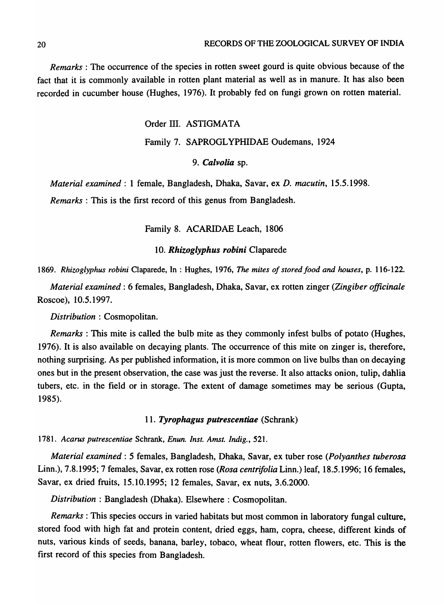*Remarks* : The occurrence of the species in rotten sweet gourd is quite obvious because of the fact that it is commonly available in rotten plant material as well as in manure. It has also been recorded in cucumber house (Hughes, 1976). It probably fed on fungi grown on rotten material.

Order III. ASTIGMATA

#### Family 7. SAPROGL YPHIDAE Oudemans, 1924

## *9. Calvolia* sp.

*Material examined:* 1 female, Bangladesh, Dhaka, Savar, ex *D. macutin, 15.5.1998.* 

*Remarks* : This is the first record of this genus from Bangladesh.

Family 8. ACARIDAE Leach, 1806

### *10. Rhizoglyphus robini* Claparede

*1869. Rhizoglyphus robini* Claparede, In : Hughes, 1976, *The mites of stored food and houses,* p. 116-122.

*Material examined:* 6 females, Bangladesh, Dhaka, Savar, ex rotten zinger *(Zingiber officinale*  Roscoe), 10.5.1997.

*Distribution* : Cosmopolitan.

*Remarks* : This mite is called the bulb mite as they commonly infest bulbs of potato (Hughes, 1976). It is also available on decaying plants. The occurrence of this mite on zinger is, therefore, nothing surprising. As per published information, it is more common on live bulbs than on decaying ones but in the present observation, the case was just the reverse. It also attacks onion, tulip, dahlia tubers, etc. in the field or in storage. The extent of damage sometimes may be serious (Gupta, 1985).

#### *11. Tyrophagus putrescentiae* (Schrank)

*1781. Acarus putrescentiae* Schrank, *Enun. Inst. Arnst. Indig., 521.* 

*Material examined:* 5 females, Bangladesh, Dhaka, Savar, ex tuber rose *(Polyanthes tuberosa*  Linn.), 7.8.1995; 7 females, Savar, ex rotten rose *(Rosa centrifolia* Linn.) leaf, 18.5.1996; 16 females, Savar, ex dried fruits, 15.10.1995; 12 females, Savar, ex nuts, 3.6.2000.

*Distribution* : Bangladesh (Dhaka). Elsewhere : Cosmopolitan.

*Remarks:* This species occurs in varied habitats but most common in laboratory fungal culture, stored food with high fat and protein content, dried eggs, ham, copra, cheese, different kinds of nuts, various kinds of seeds, banana, barley, tobaco, wheat flour, rotten flowers, etc. This is the first record of this species from Bangladesh.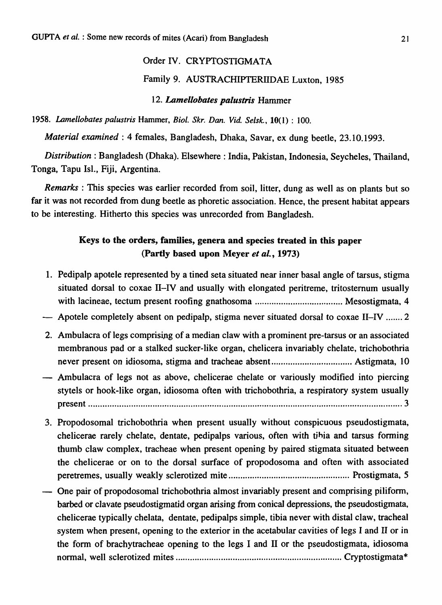# Order IV. CRYPTOSTIGMATA

## Family 9. AUSTRACHIPTERllDAE Luxton, 1985

## *12. Lamellobates palustris* Hammer

*1958. Lamellobates palustris* Hammer, *Biol. Skr. Dan. Vide Selsk.,* lO( 1) : 100.

*Material examined:* 4 females, Bangladesh, Dhaka, Savar, ex dung beetle, 23.10.1993.

*Distribution:* Bangladesh (Dhaka). Elsewhere: India, Pakistan, Indonesia, Seycheles, Thailand, Tonga, Tapu lsI., Fiji, Argentina.

*Remarks* : This species was earlier recorded from soil, litter, dung as well as on plants but so far it was not recorded from dung beetle as phoretic association. Hence, the present habitat appears to be interesting. Hitherto this species was unrecorded from Bangladesh.

## Keys to the orders, families, genera and species treated in this paper (Partly based upon Meyer *et al.,* 1973)

- 1. Pedipalp apotele represented by a tined seta situated near inner basal angle of tarsus, stigma situated dorsal to coxae II-IV and usually with elongated peritreme, tritostemum usually with lacineae, tectum present roofing gnathosoma ..................................... Mesostigmata, 4
- Apotele completely absent on pedipalp, stigma never situated dorsal to coxae II-IV ....... 2
- 2. Ambulacra of legs comprising of a median claw with a prominent pre-tarsus or an associated membranous pad or a stalked sucker-like organ, chelicera invariably chelate, trichobothria never present on idiosoma, stigma and tracheae absent .................................. Astigmata, 10
- Ambulacra of legs not as above, chelicerae chelate or variously modified into piercing stytels or hook-like organ, idiosoma often with trichobothria, a respiratory system usually present ..................................................................................................................................... 3
- 3. Propodosomal trichobothria when present usually without conspicuous pseudostigmata, chelicerae rarely chelate, dentate, pedipalps various, often with tjhia and tarsus forming thumb claw complex, tracheae when present opening by paired stigmata situated between the chelicerae or on to the dorsal surface of propodosoma and often with associated peretremes, usually weakly sclerotized mite ................................................... Prostigmata, 5
- One pair of propodosomal trichobothria almost invariably present and comprising piliform, barbed or clavate pseudostigmatid organ arising from conical depressions, the pseudostigmata, chelicerae typically chelata, dentate, pedipalps simple, tibia never with distal claw, tracheal system when present, opening to the exterior in the acetabular cavities of legs I and II or in the form of brachytracheae opening to the legs I and II or the pseudostigmata, idiosoma normal, well sclerotized mites ...................................................................... Cryptostigmata\*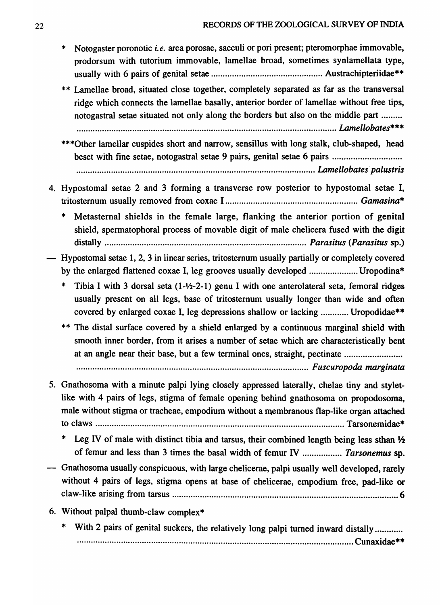- \* N otogaster poronotic i. *e.* area porosae, sacculi or pori present; pteromorphae immovable, prodorsum with tutorium immovable, lamellae broad, sometimes synlamellata type, usually with 6 pairs of genital setae ................................................ Austrachipteriidae\*\*
- \*\* Lamellae broad, situated close together, completely separated as far as the transversal ridge which connects the lamellae basally, anterior border of lamellae without free tips, notogastral setae situated not only along the borders but also on the middle part ........ . ...... ........................................................ .................................................. *LAmellobates\*\*\**
- \*\*\*Other lamellar cuspides short and narrow, sensillus with long stalk, club-shaped, head beset with fine setae, notogastral setae 9 pairs, genital setae 6 pairs ............................ ....................................................................................................... *wmellobates ·palustris*
- 4. Hypostomal setae 2 and 3 forming a transverse row posterior to hypostomal setae I, tritostemum usually removed from coxae I ......................................................... *Gamasina\** 
	- Metasternal shields in the female large, flanking the anterior portion of genital shield, spermatophoral process of movable digit of male chelicera fused with the digit distally ....................................................................................... *Parasitus (Parasitus* sp.)
- Hypostomal setae 1, 2, 3 in linear series, tritostemum usually partially or completely covered by the enlarged flattened coxae I, leg grooves usually developed ........................... Uropodina\*
	- Tibia I with 3 dorsal seta  $(1-2/2-1)$  genu I with one anterolateral seta, femoral ridges usually present on all legs, base of tritostemum usually longer than wide and often covered by enlarged coxae I, leg depressions shallow or lacking ............ Uropodidae\*\*
	- \*\* The distal surface covered by a shield enlarged by a continuous marginal shield with smooth inner border, from it arises a number of setae which are characteristically bent at an angle near their base, but a few terminal ones, straight, pectinate ......................... ............. .................. .............. ...................... ........ ........ ...... .... ....... *Fuscuropoda marginata*

5. Gnathosoma with a minute palpi lying closely appressed laterally, chelae tiny and stylet-

- like with 4 pairs of legs, stigma of female opening behind gnathosoma on propodosoma, male without stigma or tracheae, empodium without a membranous flap-like organ attached to claws ........................................................................................................... Tarsonemidae\*
	- Leg IV of male with distinct tibia and tarsus, their combined length being less sthan  $\frac{1}{2}$ of femur and less than 3 times the basal width of femur IV ................. *Tarsonemus* sp.
- Gnathosoma usually conspicuous, with large chelicerae, palpi usually well developed, rarely without 4 pairs of legs, stigma opens at base of chelicerae, empodium free, pad-like or claw-like arising from tarsus ................................................................................................. 6
- 6. Without palpal thumb-claw complex\*
	- With 2 pairs of genital suckers, the relatively long palpi turned inward distally ........... ........................... ...... ........................ ....... ....... .......... .................................. .... Cunaxidae\*\*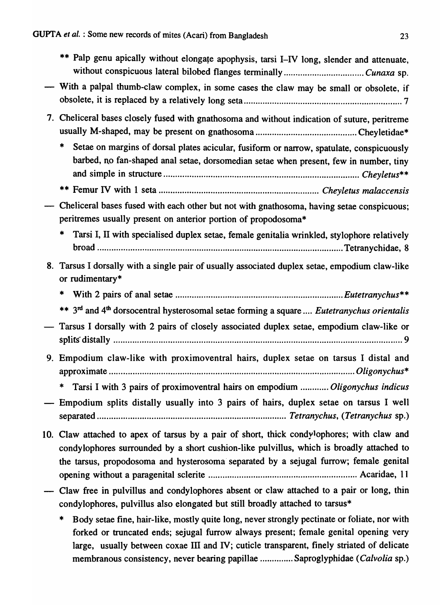|    | ** Palp genu apically without elongate apophysis, tarsi I-IV long, slender and attenuate,                                                                                                                                                                                       |
|----|---------------------------------------------------------------------------------------------------------------------------------------------------------------------------------------------------------------------------------------------------------------------------------|
|    | - With a palpal thumb-claw complex, in some cases the claw may be small or obsolete, if                                                                                                                                                                                         |
|    | 7. Cheliceral bases closely fused with gnathosoma and without indication of suture, peritreme                                                                                                                                                                                   |
|    | *<br>Setae on margins of dorsal plates acicular, fusiform or narrow, spatulate, conspicuously<br>barbed, no fan-shaped anal setae, dorsomedian setae when present, few in number, tiny                                                                                          |
|    |                                                                                                                                                                                                                                                                                 |
|    | Cheliceral bases fused with each other but not with gnathosoma, having setae conspicuous;<br>peritremes usually present on anterior portion of propodosoma*                                                                                                                     |
|    | *<br>Tarsi I, II with specialised duplex setae, female genitalia wrinkled, stylophore relatively                                                                                                                                                                                |
| 8. | Tarsus I dorsally with a single pair of usually associated duplex setae, empodium claw-like<br>or rudimentary*                                                                                                                                                                  |
|    | $\ast$                                                                                                                                                                                                                                                                          |
|    | ** 3 <sup>rd</sup> and 4 <sup>th</sup> dorsocentral hysterosomal setae forming a square  Eutetranychus orientalis                                                                                                                                                               |
|    | Tarsus I dorsally with 2 pairs of closely associated duplex setae, empodium claw-like or                                                                                                                                                                                        |
|    | 9. Empodium claw-like with proximoventral hairs, duplex setae on tarsus I distal and                                                                                                                                                                                            |
|    | Tarsi I with 3 pairs of proximoventral hairs on empodium  Oligonychus indicus<br>$\ast$                                                                                                                                                                                         |
|    | - Empodium splits distally usually into 3 pairs of hairs, duplex setae on tarsus I well                                                                                                                                                                                         |
|    | 10. Claw attached to apex of tarsus by a pair of short, thick condylophores; with claw and<br>condylophores surrounded by a short cushion-like pulvillus, which is broadly attached to<br>the tarsus, propodosoma and hysterosoma separated by a sejugal furrow; female genital |
|    | Claw free in pulvillus and condylophores absent or claw attached to a pair or long, thin<br>condylophores, pulvillus also elongated but still broadly attached to tarsus*                                                                                                       |
|    | Body setae fine, hair-like, mostly quite long, never strongly pectinate or foliate, nor with<br>*<br>forked or truncated ends; sejugal furrow always present; female genital opening very                                                                                       |

large, usually between coxae III and IV; cuticle transparent, finely striated of delicate membranous consistency, never bearing papillae .............. Saproglyphidae *(Calvolia* sp.)